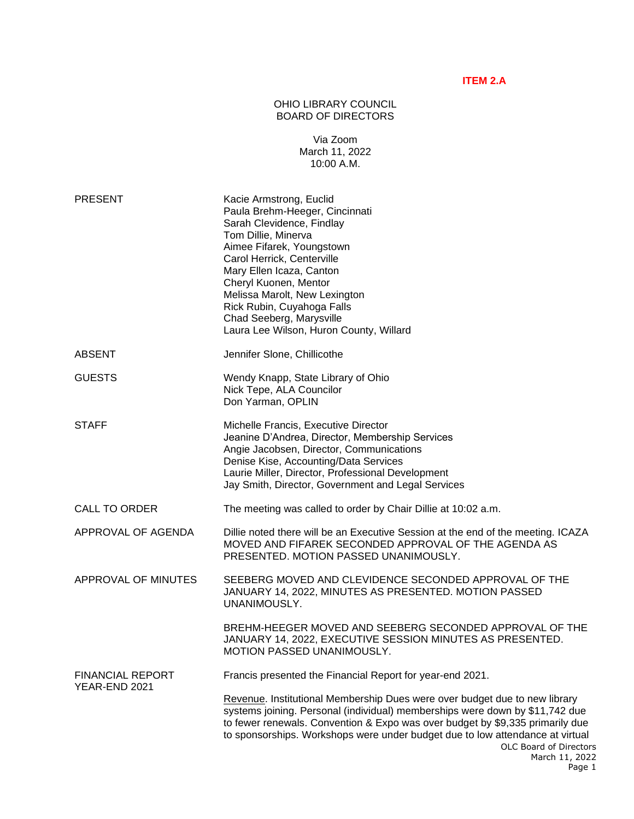## **ITEM 2.A**

## OHIO LIBRARY COUNCIL BOARD OF DIRECTORS

## Via Zoom March 11, 2022 10:00 A.M.

| <b>PRESENT</b>                           | Kacie Armstrong, Euclid<br>Paula Brehm-Heeger, Cincinnati<br>Sarah Clevidence, Findlay<br>Tom Dillie, Minerva<br>Aimee Fifarek, Youngstown<br>Carol Herrick, Centerville<br>Mary Ellen Icaza, Canton<br>Cheryl Kuonen, Mentor<br>Melissa Marolt, New Lexington<br>Rick Rubin, Cuyahoga Falls<br>Chad Seeberg, Marysville<br>Laura Lee Wilson, Huron County, Willard                |
|------------------------------------------|------------------------------------------------------------------------------------------------------------------------------------------------------------------------------------------------------------------------------------------------------------------------------------------------------------------------------------------------------------------------------------|
| <b>ABSENT</b>                            | Jennifer Slone, Chillicothe                                                                                                                                                                                                                                                                                                                                                        |
| <b>GUESTS</b>                            | Wendy Knapp, State Library of Ohio<br>Nick Tepe, ALA Councilor<br>Don Yarman, OPLIN                                                                                                                                                                                                                                                                                                |
| <b>STAFF</b>                             | Michelle Francis, Executive Director<br>Jeanine D'Andrea, Director, Membership Services<br>Angie Jacobsen, Director, Communications<br>Denise Kise, Accounting/Data Services<br>Laurie Miller, Director, Professional Development<br>Jay Smith, Director, Government and Legal Services                                                                                            |
| <b>CALL TO ORDER</b>                     | The meeting was called to order by Chair Dillie at 10:02 a.m.                                                                                                                                                                                                                                                                                                                      |
| APPROVAL OF AGENDA                       | Dillie noted there will be an Executive Session at the end of the meeting. ICAZA<br>MOVED AND FIFAREK SECONDED APPROVAL OF THE AGENDA AS<br>PRESENTED. MOTION PASSED UNANIMOUSLY.                                                                                                                                                                                                  |
| APPROVAL OF MINUTES                      | SEEBERG MOVED AND CLEVIDENCE SECONDED APPROVAL OF THE<br>JANUARY 14, 2022, MINUTES AS PRESENTED. MOTION PASSED<br>UNANIMOUSLY.                                                                                                                                                                                                                                                     |
|                                          | BREHM-HEEGER MOVED AND SEEBERG SECONDED APPROVAL OF THE<br>JANUARY 14, 2022, EXECUTIVE SESSION MINUTES AS PRESENTED.<br>MOTION PASSED UNANIMOUSLY.                                                                                                                                                                                                                                 |
| <b>FINANCIAL REPORT</b><br>YEAR-END 2021 | Francis presented the Financial Report for year-end 2021.                                                                                                                                                                                                                                                                                                                          |
|                                          | Revenue. Institutional Membership Dues were over budget due to new library<br>systems joining. Personal (individual) memberships were down by \$11,742 due<br>to fewer renewals. Convention & Expo was over budget by \$9,335 primarily due<br>to sponsorships. Workshops were under budget due to low attendance at virtual<br>OLC Board of Directors<br>March 11, 2022<br>Page 1 |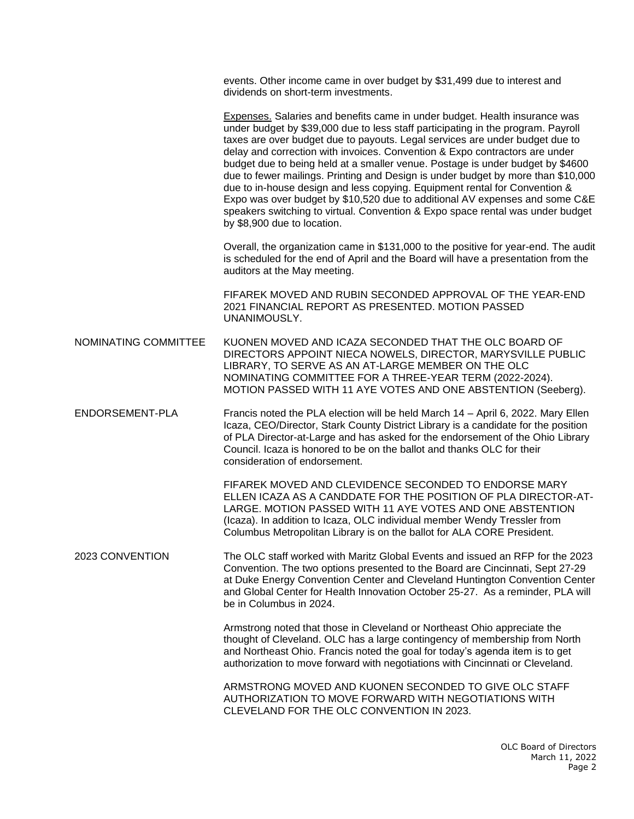events. Other income came in over budget by \$31,499 due to interest and dividends on short-term investments.

Expenses. Salaries and benefits came in under budget. Health insurance was under budget by \$39,000 due to less staff participating in the program. Payroll taxes are over budget due to payouts. Legal services are under budget due to delay and correction with invoices. Convention & Expo contractors are under budget due to being held at a smaller venue. Postage is under budget by \$4600 due to fewer mailings. Printing and Design is under budget by more than \$10,000 due to in-house design and less copying. Equipment rental for Convention & Expo was over budget by \$10,520 due to additional AV expenses and some C&E speakers switching to virtual. Convention & Expo space rental was under budget by \$8,900 due to location.

Overall, the organization came in \$131,000 to the positive for year-end. The audit is scheduled for the end of April and the Board will have a presentation from the auditors at the May meeting.

FIFAREK MOVED AND RUBIN SECONDED APPROVAL OF THE YEAR-END 2021 FINANCIAL REPORT AS PRESENTED. MOTION PASSED UNANIMOUSLY.

NOMINATING COMMITTEE KUONEN MOVED AND ICAZA SECONDED THAT THE OLC BOARD OF DIRECTORS APPOINT NIECA NOWELS, DIRECTOR, MARYSVILLE PUBLIC LIBRARY, TO SERVE AS AN AT-LARGE MEMBER ON THE OLC NOMINATING COMMITTEE FOR A THREE-YEAR TERM (2022-2024). MOTION PASSED WITH 11 AYE VOTES AND ONE ABSTENTION (Seeberg).

ENDORSEMENT-PLA Francis noted the PLA election will be held March 14 – April 6, 2022. Mary Ellen Icaza, CEO/Director, Stark County District Library is a candidate for the position of PLA Director-at-Large and has asked for the endorsement of the Ohio Library Council. Icaza is honored to be on the ballot and thanks OLC for their consideration of endorsement.

> FIFAREK MOVED AND CLEVIDENCE SECONDED TO ENDORSE MARY ELLEN ICAZA AS A CANDDATE FOR THE POSITION OF PLA DIRECTOR-AT-LARGE. MOTION PASSED WITH 11 AYE VOTES AND ONE ABSTENTION (Icaza). In addition to Icaza, OLC individual member Wendy Tressler from Columbus Metropolitan Library is on the ballot for ALA CORE President.

2023 CONVENTION The OLC staff worked with Maritz Global Events and issued an RFP for the 2023 Convention. The two options presented to the Board are Cincinnati, Sept 27-29 at Duke Energy Convention Center and Cleveland Huntington Convention Center and Global Center for Health Innovation October 25-27. As a reminder, PLA will be in Columbus in 2024.

> Armstrong noted that those in Cleveland or Northeast Ohio appreciate the thought of Cleveland. OLC has a large contingency of membership from North and Northeast Ohio. Francis noted the goal for today's agenda item is to get authorization to move forward with negotiations with Cincinnati or Cleveland.

ARMSTRONG MOVED AND KUONEN SECONDED TO GIVE OLC STAFF AUTHORIZATION TO MOVE FORWARD WITH NEGOTIATIONS WITH CLEVELAND FOR THE OLC CONVENTION IN 2023.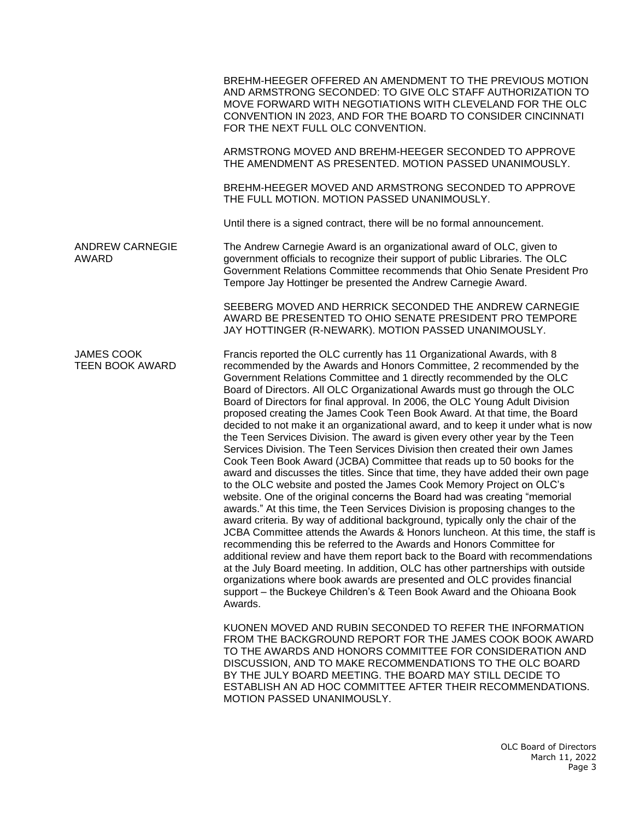BREHM-HEEGER OFFERED AN AMENDMENT TO THE PREVIOUS MOTION AND ARMSTRONG SECONDED: TO GIVE OLC STAFF AUTHORIZATION TO MOVE FORWARD WITH NEGOTIATIONS WITH CLEVELAND FOR THE OLC CONVENTION IN 2023, AND FOR THE BOARD TO CONSIDER CINCINNATI FOR THE NEXT FULL OLC CONVENTION.

ARMSTRONG MOVED AND BREHM-HEEGER SECONDED TO APPROVE THE AMENDMENT AS PRESENTED. MOTION PASSED UNANIMOUSLY.

BREHM-HEEGER MOVED AND ARMSTRONG SECONDED TO APPROVE THE FULL MOTION. MOTION PASSED UNANIMOUSLY.

Until there is a signed contract, there will be no formal announcement.

ANDREW CARNEGIE The Andrew Carnegie Award is an organizational award of OLC, given to AWARD government officials to recognize their support of public Libraries. The OLC Government Relations Committee recommends that Ohio Senate President Pro Tempore Jay Hottinger be presented the Andrew Carnegie Award.

> SEEBERG MOVED AND HERRICK SECONDED THE ANDREW CARNEGIE AWARD BE PRESENTED TO OHIO SENATE PRESIDENT PRO TEMPORE JAY HOTTINGER (R-NEWARK). MOTION PASSED UNANIMOUSLY.

JAMES COOK Francis reported the OLC currently has 11 Organizational Awards, with 8 TEEN BOOK AWARD recommended by the Awards and Honors Committee, 2 recommended by the Government Relations Committee and 1 directly recommended by the OLC Board of Directors. All OLC Organizational Awards must go through the OLC Board of Directors for final approval. In 2006, the OLC Young Adult Division proposed creating the James Cook Teen Book Award. At that time, the Board decided to not make it an organizational award, and to keep it under what is now the Teen Services Division. The award is given every other year by the Teen Services Division. The Teen Services Division then created their own James Cook Teen Book Award (JCBA) Committee that reads up to 50 books for the award and discusses the titles. Since that time, they have added their own page to the OLC website and posted the James Cook Memory Project on OLC's website. One of the original concerns the Board had was creating "memorial awards." At this time, the Teen Services Division is proposing changes to the award criteria. By way of additional background, typically only the chair of the JCBA Committee attends the Awards & Honors luncheon. At this time, the staff is recommending this be referred to the Awards and Honors Committee for additional review and have them report back to the Board with recommendations at the July Board meeting. In addition, OLC has other partnerships with outside organizations where book awards are presented and OLC provides financial support – the Buckeye Children's & Teen Book Award and the Ohioana Book Awards.

> KUONEN MOVED AND RUBIN SECONDED TO REFER THE INFORMATION FROM THE BACKGROUND REPORT FOR THE JAMES COOK BOOK AWARD TO THE AWARDS AND HONORS COMMITTEE FOR CONSIDERATION AND DISCUSSION, AND TO MAKE RECOMMENDATIONS TO THE OLC BOARD BY THE JULY BOARD MEETING. THE BOARD MAY STILL DECIDE TO ESTABLISH AN AD HOC COMMITTEE AFTER THEIR RECOMMENDATIONS. MOTION PASSED UNANIMOUSLY.

> > OLC Board of Directors March 11, 2022 Page 3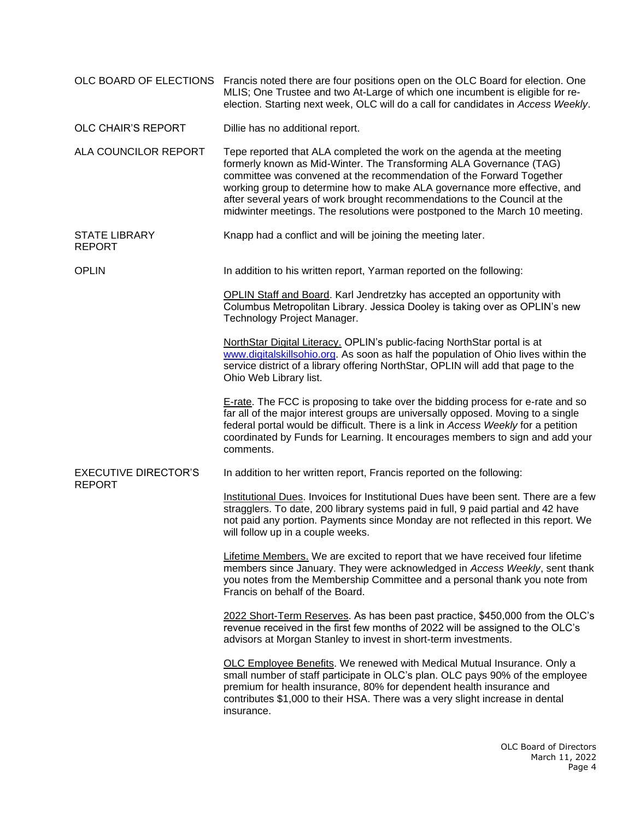|                                              | OLC BOARD OF ELECTIONS Francis noted there are four positions open on the OLC Board for election. One<br>MLIS; One Trustee and two At-Large of which one incumbent is eligible for re-<br>election. Starting next week, OLC will do a call for candidates in Access Weekly.                                                                                                                                                                                    |
|----------------------------------------------|----------------------------------------------------------------------------------------------------------------------------------------------------------------------------------------------------------------------------------------------------------------------------------------------------------------------------------------------------------------------------------------------------------------------------------------------------------------|
| OLC CHAIR'S REPORT                           | Dillie has no additional report.                                                                                                                                                                                                                                                                                                                                                                                                                               |
| ALA COUNCILOR REPORT                         | Tepe reported that ALA completed the work on the agenda at the meeting<br>formerly known as Mid-Winter. The Transforming ALA Governance (TAG)<br>committee was convened at the recommendation of the Forward Together<br>working group to determine how to make ALA governance more effective, and<br>after several years of work brought recommendations to the Council at the<br>midwinter meetings. The resolutions were postponed to the March 10 meeting. |
| <b>STATE LIBRARY</b><br><b>REPORT</b>        | Knapp had a conflict and will be joining the meeting later.                                                                                                                                                                                                                                                                                                                                                                                                    |
| <b>OPLIN</b>                                 | In addition to his written report, Yarman reported on the following:                                                                                                                                                                                                                                                                                                                                                                                           |
|                                              | OPLIN Staff and Board. Karl Jendretzky has accepted an opportunity with<br>Columbus Metropolitan Library. Jessica Dooley is taking over as OPLIN's new<br>Technology Project Manager.                                                                                                                                                                                                                                                                          |
|                                              | NorthStar Digital Literacy. OPLIN's public-facing NorthStar portal is at<br>www.digitalskillsohio.org. As soon as half the population of Ohio lives within the<br>service district of a library offering NorthStar, OPLIN will add that page to the<br>Ohio Web Library list.                                                                                                                                                                                  |
|                                              | E-rate. The FCC is proposing to take over the bidding process for e-rate and so<br>far all of the major interest groups are universally opposed. Moving to a single<br>federal portal would be difficult. There is a link in Access Weekly for a petition<br>coordinated by Funds for Learning. It encourages members to sign and add your<br>comments.                                                                                                        |
| <b>EXECUTIVE DIRECTOR'S</b><br><b>REPORT</b> | In addition to her written report, Francis reported on the following:                                                                                                                                                                                                                                                                                                                                                                                          |
|                                              | Institutional Dues. Invoices for Institutional Dues have been sent. There are a few<br>stragglers. To date, 200 library systems paid in full, 9 paid partial and 42 have<br>not paid any portion. Payments since Monday are not reflected in this report. We<br>will follow up in a couple weeks.                                                                                                                                                              |
|                                              | <b>Lifetime Members.</b> We are excited to report that we have received four lifetime<br>members since January. They were acknowledged in Access Weekly, sent thank<br>you notes from the Membership Committee and a personal thank you note from<br>Francis on behalf of the Board.                                                                                                                                                                           |
|                                              | 2022 Short-Term Reserves. As has been past practice, \$450,000 from the OLC's<br>revenue received in the first few months of 2022 will be assigned to the OLC's<br>advisors at Morgan Stanley to invest in short-term investments.                                                                                                                                                                                                                             |
|                                              | <b>OLC Employee Benefits.</b> We renewed with Medical Mutual Insurance. Only a<br>small number of staff participate in OLC's plan. OLC pays 90% of the employee<br>premium for health insurance, 80% for dependent health insurance and<br>contributes \$1,000 to their HSA. There was a very slight increase in dental<br>insurance.                                                                                                                          |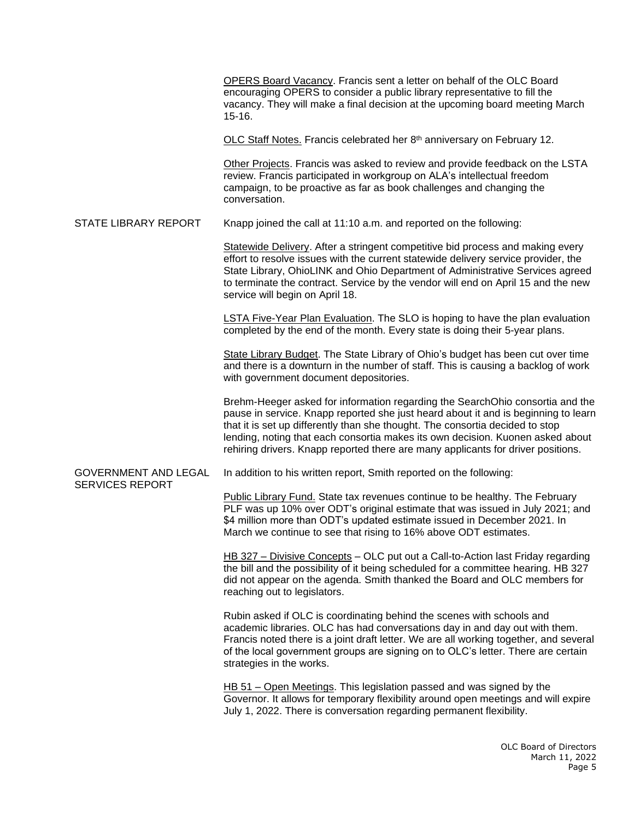OPERS Board Vacancy. Francis sent a letter on behalf of the OLC Board encouraging OPERS to consider a public library representative to fill the vacancy. They will make a final decision at the upcoming board meeting March 15-16. OLC Staff Notes. Francis celebrated her 8<sup>th</sup> anniversary on February 12. Other Projects. Francis was asked to review and provide feedback on the LSTA

review. Francis participated in workgroup on ALA's intellectual freedom campaign, to be proactive as far as book challenges and changing the conversation.

STATE LIBRARY REPORT Knapp joined the call at 11:10 a.m. and reported on the following:

Statewide Delivery. After a stringent competitive bid process and making every effort to resolve issues with the current statewide delivery service provider, the State Library, OhioLINK and Ohio Department of Administrative Services agreed to terminate the contract. Service by the vendor will end on April 15 and the new service will begin on April 18.

LSTA Five-Year Plan Evaluation. The SLO is hoping to have the plan evaluation completed by the end of the month. Every state is doing their 5-year plans.

State Library Budget. The State Library of Ohio's budget has been cut over time and there is a downturn in the number of staff. This is causing a backlog of work with government document depositories.

Brehm-Heeger asked for information regarding the SearchOhio consortia and the pause in service. Knapp reported she just heard about it and is beginning to learn that it is set up differently than she thought. The consortia decided to stop lending, noting that each consortia makes its own decision. Kuonen asked about rehiring drivers. Knapp reported there are many applicants for driver positions.

## GOVERNMENT AND LEGAL In addition to his written report, Smith reported on the following: SERVICES REPORT

Public Library Fund. State tax revenues continue to be healthy. The February PLF was up 10% over ODT's original estimate that was issued in July 2021; and \$4 million more than ODT's updated estimate issued in December 2021. In March we continue to see that rising to 16% above ODT estimates.

HB 327 – Divisive Concepts – OLC put out a Call-to-Action last Friday regarding the bill and the possibility of it being scheduled for a committee hearing. HB 327 did not appear on the agenda. Smith thanked the Board and OLC members for reaching out to legislators.

Rubin asked if OLC is coordinating behind the scenes with schools and academic libraries. OLC has had conversations day in and day out with them. Francis noted there is a joint draft letter. We are all working together, and several of the local government groups are signing on to OLC's letter. There are certain strategies in the works.

HB 51 – Open Meetings. This legislation passed and was signed by the Governor. It allows for temporary flexibility around open meetings and will expire July 1, 2022. There is conversation regarding permanent flexibility.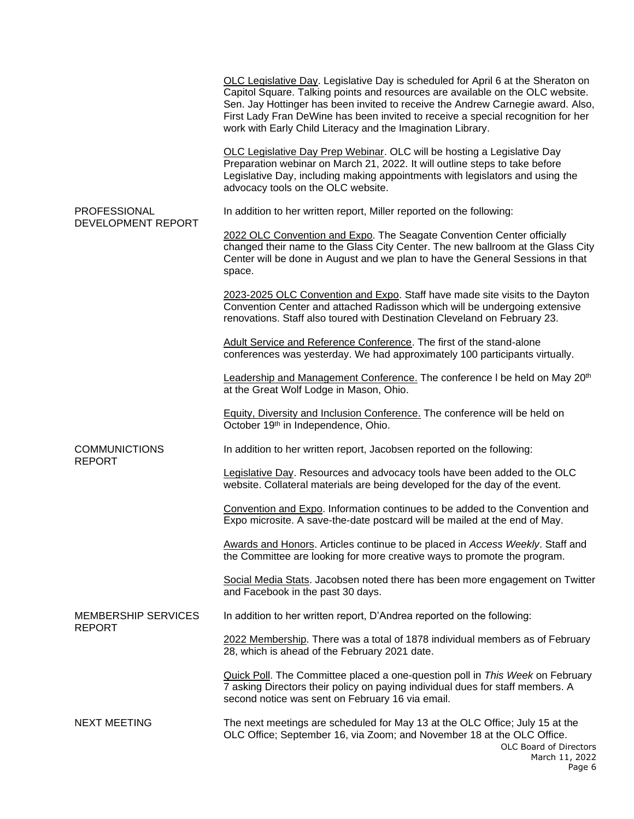|                                                                                                                                          | OLC Legislative Day. Legislative Day is scheduled for April 6 at the Sheraton on<br>Capitol Square. Talking points and resources are available on the OLC website.<br>Sen. Jay Hottinger has been invited to receive the Andrew Carnegie award. Also,<br>First Lady Fran DeWine has been invited to receive a special recognition for her<br>work with Early Child Literacy and the Imagination Library. |
|------------------------------------------------------------------------------------------------------------------------------------------|----------------------------------------------------------------------------------------------------------------------------------------------------------------------------------------------------------------------------------------------------------------------------------------------------------------------------------------------------------------------------------------------------------|
| <b>PROFESSIONAL</b><br><b>DEVELOPMENT REPORT</b><br><b>COMMUNICTIONS</b><br><b>REPORT</b><br><b>MEMBERSHIP SERVICES</b><br><b>REPORT</b> | OLC Legislative Day Prep Webinar. OLC will be hosting a Legislative Day<br>Preparation webinar on March 21, 2022. It will outline steps to take before<br>Legislative Day, including making appointments with legislators and using the<br>advocacy tools on the OLC website.                                                                                                                            |
|                                                                                                                                          | In addition to her written report, Miller reported on the following:                                                                                                                                                                                                                                                                                                                                     |
|                                                                                                                                          | 2022 OLC Convention and Expo. The Seagate Convention Center officially<br>changed their name to the Glass City Center. The new ballroom at the Glass City<br>Center will be done in August and we plan to have the General Sessions in that<br>space.                                                                                                                                                    |
|                                                                                                                                          | 2023-2025 OLC Convention and Expo. Staff have made site visits to the Dayton<br>Convention Center and attached Radisson which will be undergoing extensive<br>renovations. Staff also toured with Destination Cleveland on February 23.                                                                                                                                                                  |
|                                                                                                                                          | Adult Service and Reference Conference. The first of the stand-alone<br>conferences was yesterday. We had approximately 100 participants virtually.                                                                                                                                                                                                                                                      |
|                                                                                                                                          | Leadership and Management Conference. The conference I be held on May 20 <sup>th</sup><br>at the Great Wolf Lodge in Mason, Ohio.                                                                                                                                                                                                                                                                        |
|                                                                                                                                          | Equity, Diversity and Inclusion Conference. The conference will be held on<br>October 19th in Independence, Ohio.                                                                                                                                                                                                                                                                                        |
|                                                                                                                                          | In addition to her written report, Jacobsen reported on the following:                                                                                                                                                                                                                                                                                                                                   |
|                                                                                                                                          | Legislative Day. Resources and advocacy tools have been added to the OLC<br>website. Collateral materials are being developed for the day of the event.                                                                                                                                                                                                                                                  |
|                                                                                                                                          | Convention and Expo. Information continues to be added to the Convention and<br>Expo microsite. A save-the-date postcard will be mailed at the end of May.                                                                                                                                                                                                                                               |
|                                                                                                                                          | Awards and Honors. Articles continue to be placed in Access Weekly. Staff and<br>the Committee are looking for more creative ways to promote the program.                                                                                                                                                                                                                                                |
|                                                                                                                                          | Social Media Stats. Jacobsen noted there has been more engagement on Twitter<br>and Facebook in the past 30 days.                                                                                                                                                                                                                                                                                        |
|                                                                                                                                          | In addition to her written report, D'Andrea reported on the following:                                                                                                                                                                                                                                                                                                                                   |
|                                                                                                                                          | 2022 Membership. There was a total of 1878 individual members as of February<br>28, which is ahead of the February 2021 date.                                                                                                                                                                                                                                                                            |
|                                                                                                                                          | Quick Poll. The Committee placed a one-question poll in This Week on February<br>7 asking Directors their policy on paying individual dues for staff members. A<br>second notice was sent on February 16 via email.                                                                                                                                                                                      |
| <b>NEXT MEETING</b>                                                                                                                      | The next meetings are scheduled for May 13 at the OLC Office; July 15 at the<br>OLC Office; September 16, via Zoom; and November 18 at the OLC Office.<br>OLC Board of Directors<br>March 11, 2022<br>D <sub>2</sub> 006                                                                                                                                                                                 |